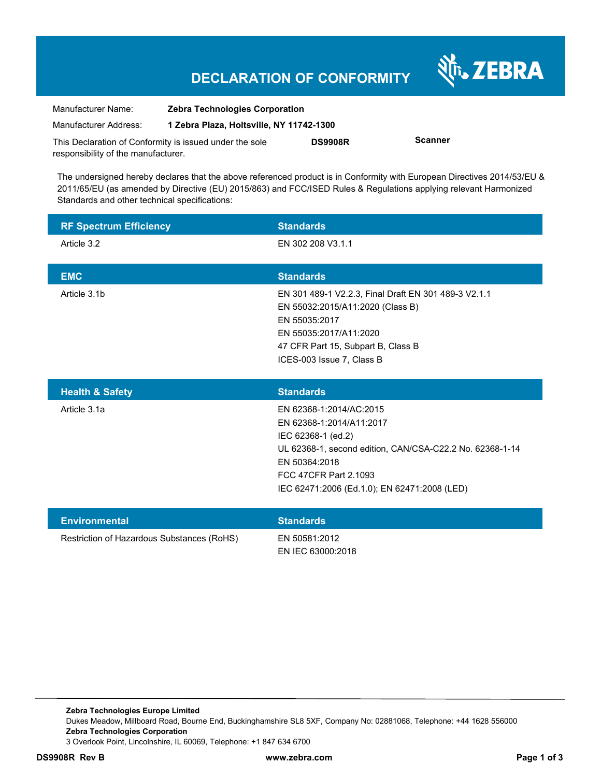| Manufacturer Name:                                      | <b>Zebra Technologies Corporation</b>    |                |                |
|---------------------------------------------------------|------------------------------------------|----------------|----------------|
| Manufacturer Address:                                   | 1 Zebra Plaza, Holtsville, NY 11742-1300 |                |                |
| This Declaration of Conformity is issued under the sole |                                          | <b>DS9908R</b> | <b>Scanner</b> |
| responsibility of the manufacturer.                     |                                          |                |                |

The undersigned hereby declares that the above referenced product is in Conformity with European Directives 2014/53/EU & 2011/65/EU (as amended by Directive (EU) 2015/863) and FCC/ISED Rules & Regulations applying relevant Harmonized Standards and other technical specifications:

| <b>RF Spectrum Efficiency</b> | <b>Standards</b>                                     |
|-------------------------------|------------------------------------------------------|
| Article 3.2                   | EN 302 208 V3.1.1                                    |
|                               |                                                      |
| <b>EMC</b>                    | <b>Standards</b>                                     |
| Article 3.1b                  | EN 301 489-1 V2.2.3, Final Draft EN 301 489-3 V2.1.1 |
|                               | EN 55032:2015/A11:2020 (Class B)                     |
|                               | EN 55035:2017                                        |
|                               | EN 55035:2017/A11:2020                               |
|                               | 47 CFR Part 15, Subpart B, Class B                   |
|                               | ICES-003 Issue 7, Class B                            |

| <b>Health &amp; Safety</b> | <b>Standards</b>                                         |
|----------------------------|----------------------------------------------------------|
| Article 3.1a               | EN 62368-1:2014/AC:2015                                  |
|                            | EN 62368-1:2014/A11:2017                                 |
|                            | IEC 62368-1 (ed.2)                                       |
|                            | UL 62368-1, second edition, CAN/CSA-C22.2 No. 62368-1-14 |
|                            | EN 50364:2018                                            |
|                            | FCC 47CFR Part 2.1093                                    |
|                            | IEC 62471:2006 (Ed.1.0); EN 62471:2008 (LED)             |
|                            |                                                          |

| <b>Environmental</b>                       | <b>Standards</b>                   |
|--------------------------------------------|------------------------------------|
| Restriction of Hazardous Substances (RoHS) | EN 50581:2012<br>EN IEC 63000:2018 |

Nr. ZEBRA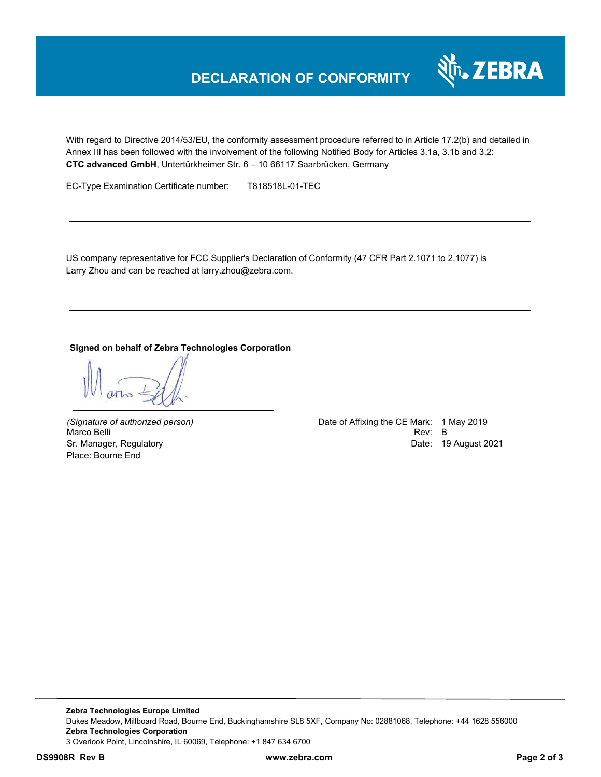

With regard to Directive 2014/53/EU, the conformity assessment procedure referred to in Article 17.2(b) and detailed in Annex III has been followed with the involvement of the following Notified Body for Articles 3.1a, 3.1b and 3.2: **CTC advanced GmbH**, Untertürkheimer Str. 6 – 10 66117 Saarbrücken, Germany

EC-Type Examination Certificate number: T818518L-01-TEC

US company representative for FCC Supplier's Declaration of Conformity (47 CFR Part 2.1071 to 2.1077) is Larry Zhou and can be reached at larry.zhou@zebra.com.

#### **Signed on behalf of Zebra Technologies Corporation**

Place: Bourne End

*(Signature of authorized person)* Date of Affixing the CE Mark: 1 May 2019 Marco Belli Rev: B Sr. Manager, Regulatory **Date: 19 August 2021** 

**Zebra Technologies Europe Limited**  Dukes Meadow, Millboard Road, Bourne End, Buckinghamshire SL8 5XF, Company No: 02881068, Telephone: +44 1628 556000 **Zebra Technologies Corporation**  3 Overlook Point, Lincolnshire, IL 60069, Telephone: +1 847 634 6700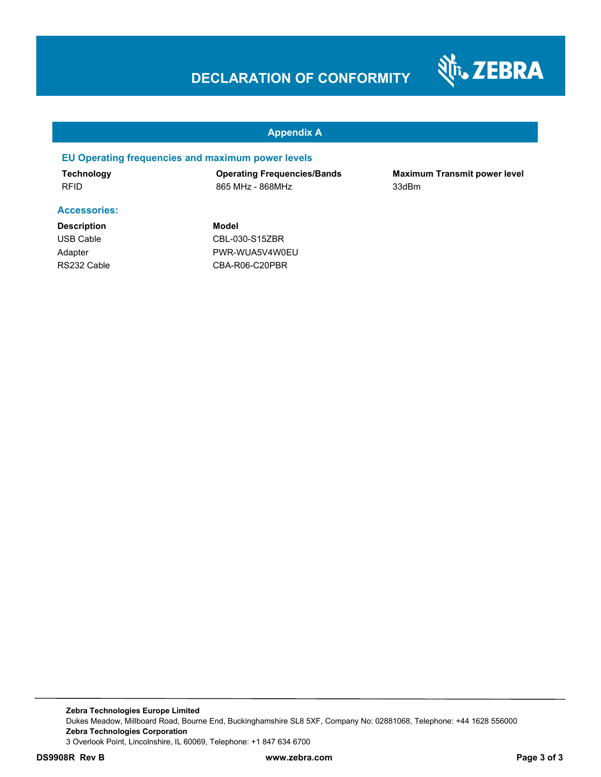

#### **Appendix A**

#### **EU Operating frequencies and maximum power levels**

**Technology Operating Frequencies/Bands Maximum Transmit power level**  RFID 865 MHz - 868MHz 33dBm

#### **Accessories:**

**Description Model**

USB Cable CBL-030-S15ZBR Adapter PWR-WUA5V4W0EU RS232 Cable CBA-R06-C20PBR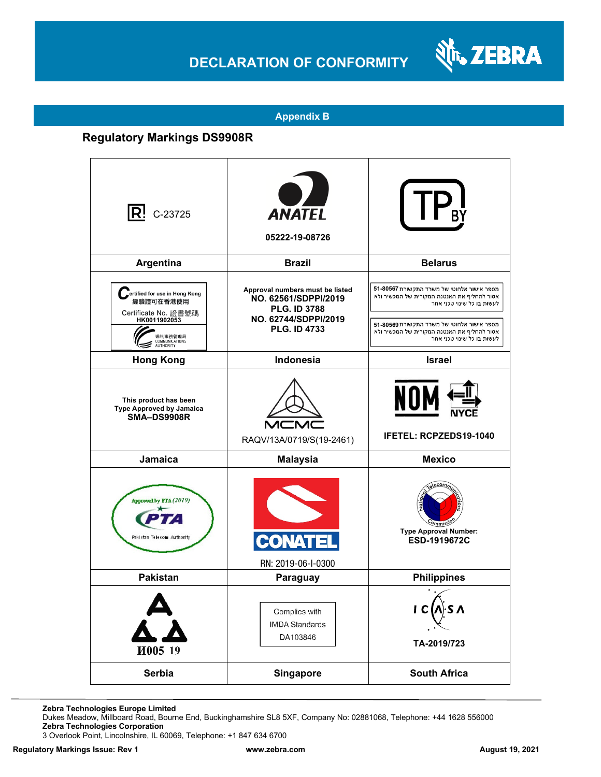

#### **Appendix B**

### **Regulatory Markings DS9908R**

| $\mathsf{R}^!$ C-23725                                                                                                                     | <b>ANATEL</b><br>05222-19-08726                                                                                               |                                                                                                                                                                                                                                                    |
|--------------------------------------------------------------------------------------------------------------------------------------------|-------------------------------------------------------------------------------------------------------------------------------|----------------------------------------------------------------------------------------------------------------------------------------------------------------------------------------------------------------------------------------------------|
| Argentina                                                                                                                                  | <b>Brazil</b>                                                                                                                 | <b>Belarus</b>                                                                                                                                                                                                                                     |
| ertified for use in Hong Kong<br>經驗證可在香港使用<br>Certificate No. 證書號碼<br>HK0011902053<br>■訊事務管理局<br><b>COMMUNICATIONS</b><br><b>AUTHORITY</b> | Approval numbers must be listed<br>NO. 62561/SDPPI/2019<br><b>PLG. ID 3788</b><br>NO. 62744/SDPPI/2019<br><b>PLG. ID 4733</b> | מספר אישור אלחוטי של משרד התקשורת 51-80567<br>אסור להחליף את האנטנה המקורית של המכשיר ולא<br>לעשות בו כל שינוי טכני אחר<br>מספר אישור אלחוטי של משרד התקשורת 51-80569<br>אסור להחליף את האנטנה המקורית של המכשיר ולא<br>לעשות בו כל שינוי טכני אחר |
| <b>Hong Kong</b>                                                                                                                           | Indonesia                                                                                                                     | <b>Israel</b>                                                                                                                                                                                                                                      |
| This product has been<br><b>Type Approved by Jamaica</b><br><b>SMA-DS9908R</b>                                                             | RAQV/13A/0719/S(19-2461)                                                                                                      | NOM<br><b>IFETEL: RCPZEDS19-1040</b>                                                                                                                                                                                                               |
| Jamaica                                                                                                                                    | <b>Malaysia</b>                                                                                                               | <b>Mexico</b>                                                                                                                                                                                                                                      |
| Approved by PTA (2019)<br>Paki stan Telecom Authority                                                                                      | RN: 2019-06-I-0300                                                                                                            | <b>Type Approval Number:</b><br>ESD-1919672C                                                                                                                                                                                                       |
| <b>Pakistan</b>                                                                                                                            | Paraguay                                                                                                                      | <b>Philippines</b>                                                                                                                                                                                                                                 |
| И005 19                                                                                                                                    | Complies with<br><b>IMDA Standards</b><br>DA103846                                                                            | l)∙S ∧<br> C <br>TA-2019/723                                                                                                                                                                                                                       |
| Serbia                                                                                                                                     | <b>Singapore</b>                                                                                                              | <b>South Africa</b>                                                                                                                                                                                                                                |

**Zebra Technologies Europe Limited**

Dukes Meadow, Millboard Road, Bourne End, Buckinghamshire SL8 5XF, Company No: 02881068, Telephone: +44 1628 556000 **Zebra Technologies Corporation** 

3 Overlook Point, Lincolnshire, IL 60069, Telephone: +1 847 634 6700